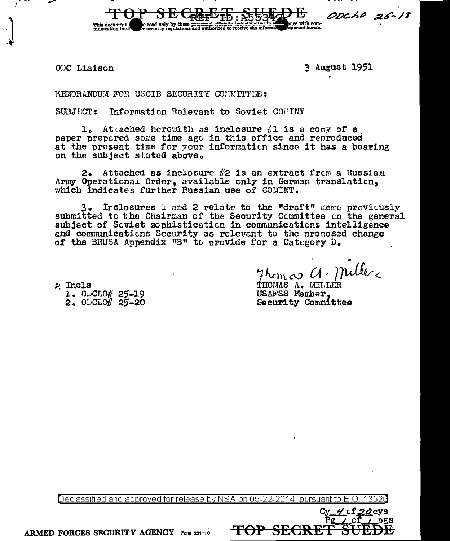ODC Liaison

This document

3 August 1951

with con

ODCHO 25-18

MEMORANDUM FOR USCIB SECURITY CONNITTIE:

SUBJECT: Information Relevant to Soviet COMMINT

e read only by those personnel officially<br>e security regulations and authorized to

1. Attached herewith as inclosure  $\#1$  is a copy of a paper prepared some time ago in this office and reproduced at the present time for your information since it has a bearing on the subject stated above.

2. Attached as inclosure  $\#2$  is an extract from a Russian Army Operational Order, available only in German translation, which indicates further Russian use of COMINT.

3. Inclosures 1 and 2 relate to the "draft" memo previously submitted to the Chairman of the Security Committee on the general subject of Seviet sophistication in communications intelligence and communications Security as relevant to the pronosed change of the BRUSA Appendix "B" to provide for a Category D.

2 Incls 1. ODCLO# 25-19 2.  $O<sub>1</sub>Cl<sub>0</sub>f'$  25-20

Thomas a. Miller

cf 20cys

 $DSS$ 

THOMAS A. MILLER USAFSS Member. Security Committee

Declassified and approved for release by NSA on 05-22-2014  $\,$  pursuant to E.O.  $\,$ 

<del>TOP SECRE</del>

ARMED FORCES SECURITY AGENCY Form 251-10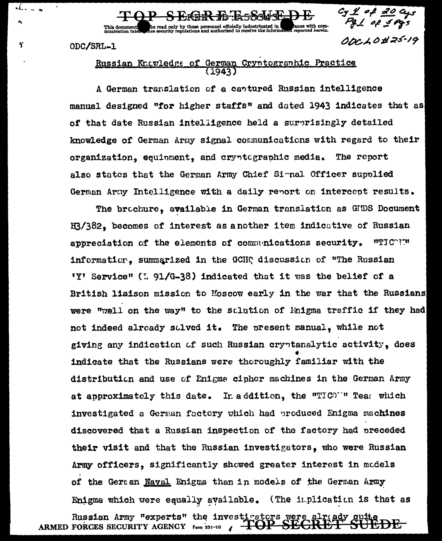ODC/SRL-1

This document<br>munication interest

 $\overline{\mathcal{M}}$ 

Y

Russian Knowledge of German Cryntographic Practice  $(1943)$ 

be read only by those personnel officially indoctrinated in the bance with com-<br>hee security regulations and authorized to receive the information reported herein.

A German translation of a cantured Russian intelligence manual designed "for higher staffs" and dated 1943 indicates that as of that date Russian intelligence held a surprisingly detailed knowledge of German Army signal communications with regard to their organization, equinment, and cryptographic media. The report also states that the German Army Chief Simal Officer supplied German Army Intelligence with a daily report on intercept results.

 $\frac{c_4 \cancel{1} \cancel{1} \text{ of } 30}{c_4 \cancel{1} \text{ of } 5 \text{ erg}}$ 

00010#25-19

The brochure, available in German translation as GHDS Document H3/382. becomes of interest as a nother item indicative of Russian *HTICOTH* appreciation of the elements of communications security. information, summarized in the GCHQ discussion of "The Russian 'Y' Service" (1 91/G-38) indicated that it was the belief of a British liaison mission to Moscow early in the war that the Russians were "well on the way" to the sclution of Fnigma traffic if they had not indeed already solved it. The present manual, while not giving any indication of such Russian cryptanalytic activity. does indicate that the Russians were thoroughly familiar with the distribution and use of Enigma cipher machines in the German Army at approximately this date. In addition, the "TIC"" Teas which investigated a German factory which had produced Enigma machines discovered that a Russian inspection of the factory had preceded their visit and that the Russian investigators, who were Russian Army officers, significantly showed greater interest in models of the German Naval Enigma than in models of the German Army Enigma which were equally available. (The implication is that as Russian Army "experts" the investigators were already quite ARMED FORCES SECURITY AGENCY Form 251-10 / TOP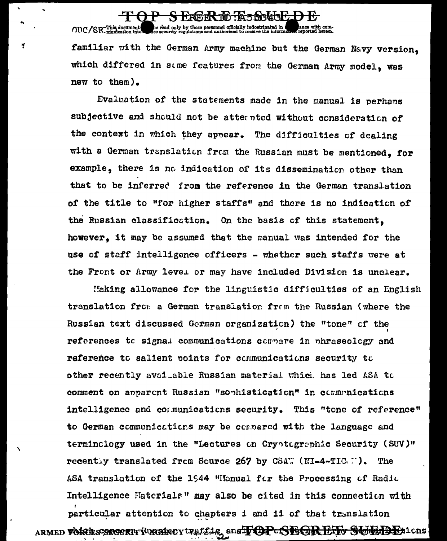the read only by those personnel officially indoctrinated in a  $ODC/SR$ -This document familiar with the German Army machine but the German Navy version, which differed in some features from the German Army model, was new to them).

Y

S ERER TO ESSERED E

Evaluation of the statements made in the manual is perhans subjective and should not be atternted without consideration of the context in which they appear. The difficulties of dealing with a German translation from the Russian must be mentioned, for example, there is no indication of its dissemination other than that to be inferred from the reference in the German translation of the title to "for higher staffs" and there is no indication of the Russian classification. On the basis of this statement. however, it may be assumed that the manual was intended for the use of staff intelligence officers - whether such staffs were at the Front or Army level or may have included Division is unclear.

Making allowance for the linguistic difficulties of an English translation from a German translation from the Russian (where the Russian text discussed German organization) the "tone" of the references to signal communications compare in phraseology and reference to salient points for communications security to other recently avai able Russian material which has led ASA to comment on apparent Russian "sophistication" in communications intelligence and communications security. This "tone of reference" to German communications may be concared with the language and terminclogy used in the "Lectures on Cryptographic Security (SUV)" recently translated from Source 267 by CSAW (NI-4-TICAM). The ASA translation of the 1944 "Manual for the Processing of Radio Intelligence Materials<sup>"</sup> may also be cited in this connection with particular attention to chapters i and ii of that translation ARMED FORCESCOCORTT FURGENCY UP ALL SING analy OP-SEGRETY SURBERION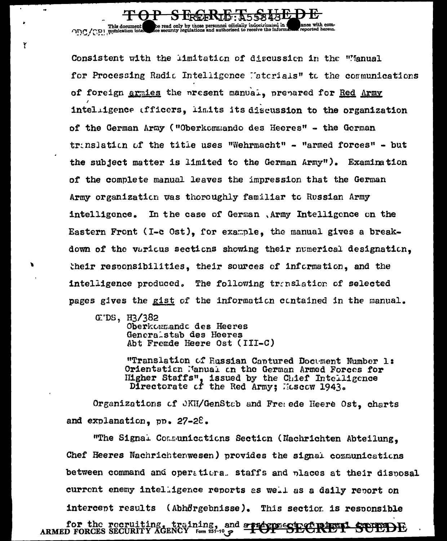Consistent with the limitation of discussion in the "Manual for Processing Radic Intelligence l'aterials" to the communications of foreign armies the present manual, prepared for Red Army intelligence (fficers, limits its discussion to the organization of the German Army ("Oberkommando des Heeres" - the German trinslation of the title uses "Wehrmacht" - "armed forces" - but the subject matter is limited to the German Army"). Examination of the complete manual leaves the impression that the German Army organization was thoroughly familiar to Russian Army intelligence. In the case of German , Army Intelligence on the Eastern Front (I-c Ost), for example, the manual gives a breakdown of the various sections showing their numerical designation. their responsibilities. their sources of information, and the intelligence produced. The following translation of selected pages gives the gist of the information contained in the manual.

S EREEKTE: A55843L

ance with com-<br>reported herein.

e read only by those personnel officially indoctrinated in a<br>lee security regulations and authorized to receive the informa

 $GEDS$ ,  $H3/382$ 

 $\bullet$ 

Y

This document

Oberkommando des Heeres Generalstab des Heeres Abt Fremde Heere Ost (III-C)

"Translation of Eussian Captured Document Number 1: Orientation Manual on the German Armed Forces for Higher Staffs", issued by the Chief Intelligence Directorate of the Red Army; Hoscow 1943.

Organizations of JKH/GenStab and Freede Heere Ost, charts and explanation,  $pp$ ,  $27-28$ .

"The Signal Communications Section (Nachrichten Abteilung, Chef Heeres Nachrichtenwesen) provides the signal communications between command and operational staffs and places at their disposal current enemy intelligence reports as well as a daily report on intercent results (Abhörgebnisse). This section is responsible

for the recruiting, training, and approximately the new ARMED FORCES SECURITY AGENCY Form 251-10  $\varphi$  . The SECURITY **STORACHE**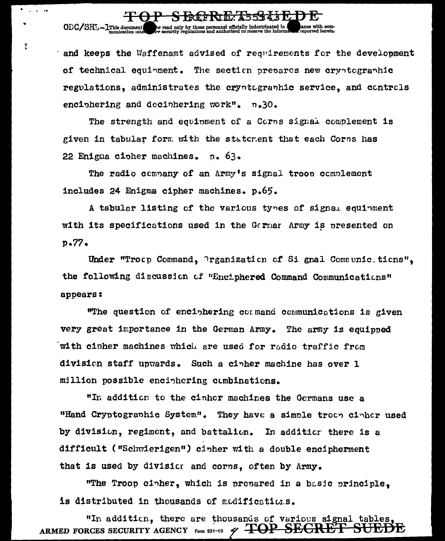## and keeps the Waffenamt advised of requirements for the development of technical equinment. The section prepares new cryptographic regulations, administrates the cryptographic service, and controls enciphering and deciphering work". n.30.

<del>S RéfRid: A55343E</del>

he read only by those personnel officially indoctrinated in integration of the results of the second state.

**Contract Contract** 

 $\overline{t}$ 

ODC/SRL-1This document

The strength and equinment of a Corns signal complement is given in tabular form with the statement that each Corps has 22 Enigma cipher machines. p. 63.

The radio company of an Army's signal troop complement includes 24 Enigma cipher machines. p.65.

A tabular listing of the various types of signal equipment with its specifications used in the German Army is presented on  $p<sub>0</sub>$ 77 $\sim$ 

Under "Trocp Command, Prganization of Si gnal Communic.tions", the following discussion of "Enciphered Command Communications" appears:

"The question of enciphering command communications is given very great importance in the German Army. The army is equipped with cipher machines which are used for radio traffic from division staff upwards. Such a cinher machine has over 1 million possible encinhering combinations.

"In addition to the cinher machines the Germans use a "Hand Cryptographic System". They have a simple troop ciphor used by division, regiment, and battalion. In additicr there is a difficult ("Schwierigen") cipher with a double encipherment that is used by divisior and corns, often by Army,

"The Troop cinher, which is prepared in a basic principle, is distributed in thousands of modifications.

"In addition, there are thousands of various signal tables ARMED FORCES SECURITY AGENCY FORM 251-10  $\,\mathscr{D}$   $\overline{ \mathbf{+OP}}$   $\overline{\mathbf{SECRE}}$